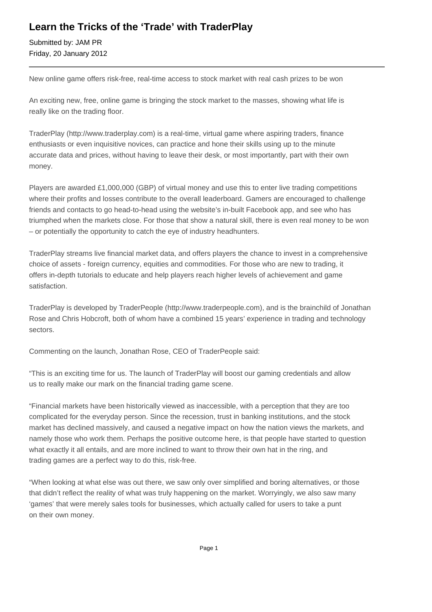## **Learn the Tricks of the 'Trade' with TraderPlay**

Submitted by: JAM PR Friday, 20 January 2012

New online game offers risk-free, real-time access to stock market with real cash prizes to be won

An exciting new, free, online game is bringing the stock market to the masses, showing what life is really like on the trading floor.

TraderPlay (http://www.traderplay.com) is a real-time, virtual game where aspiring traders, finance enthusiasts or even inquisitive novices, can practice and hone their skills using up to the minute accurate data and prices, without having to leave their desk, or most importantly, part with their own money.

Players are awarded £1,000,000 (GBP) of virtual money and use this to enter live trading competitions where their profits and losses contribute to the overall leaderboard. Gamers are encouraged to challenge friends and contacts to go head-to-head using the website's in-built Facebook app, and see who has triumphed when the markets close. For those that show a natural skill, there is even real money to be won – or potentially the opportunity to catch the eye of industry headhunters.

TraderPlay streams live financial market data, and offers players the chance to invest in a comprehensive choice of assets - foreign currency, equities and commodities. For those who are new to trading, it offers in-depth tutorials to educate and help players reach higher levels of achievement and game satisfaction.

TraderPlay is developed by TraderPeople (http://www.traderpeople.com), and is the brainchild of Jonathan Rose and Chris Hobcroft, both of whom have a combined 15 years' experience in trading and technology sectors.

Commenting on the launch, Jonathan Rose, CEO of TraderPeople said:

"This is an exciting time for us. The launch of TraderPlay will boost our gaming credentials and allow us to really make our mark on the financial trading game scene.

"Financial markets have been historically viewed as inaccessible, with a perception that they are too complicated for the everyday person. Since the recession, trust in banking institutions, and the stock market has declined massively, and caused a negative impact on how the nation views the markets, and namely those who work them. Perhaps the positive outcome here, is that people have started to question what exactly it all entails, and are more inclined to want to throw their own hat in the ring, and trading games are a perfect way to do this, risk-free.

"When looking at what else was out there, we saw only over simplified and boring alternatives, or those that didn't reflect the reality of what was truly happening on the market. Worryingly, we also saw many 'games' that were merely sales tools for businesses, which actually called for users to take a punt on their own money.